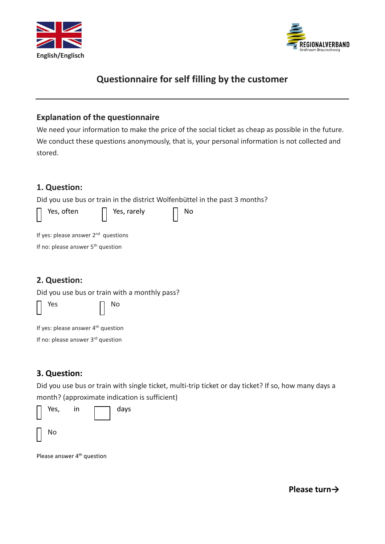



# **Questionnaire for self filling by the customer**

### **Explanation of the questionnaire**

We need your information to make the price of the social ticket as cheap as possible in the future. We conduct these questions anonymously, that is, your personal information is not collected and stored.

# **1. Question:**

Did you use bus or train in the district Wolfenbüttel in the past 3 months?



|  |  | If yes: please answer $2^{nd}$ questions |
|--|--|------------------------------------------|
|  |  |                                          |

If no: please answer 5<sup>th</sup> question

# **2. Question:**

Did you use bus or train with a monthly pass?

Yes  $\Box$  No

If yes: please answer 4<sup>th</sup> question

If no: please answer 3<sup>rd</sup> question

# **3. Question:**

Did you use bus or train with single ticket, multi-trip ticket or day ticket? If so, how many days a month? (approximate indication is sufficient)

| Yes, | in | days |
|------|----|------|
| No   |    |      |

Please answer 4<sup>th</sup> question

**Please turn→**